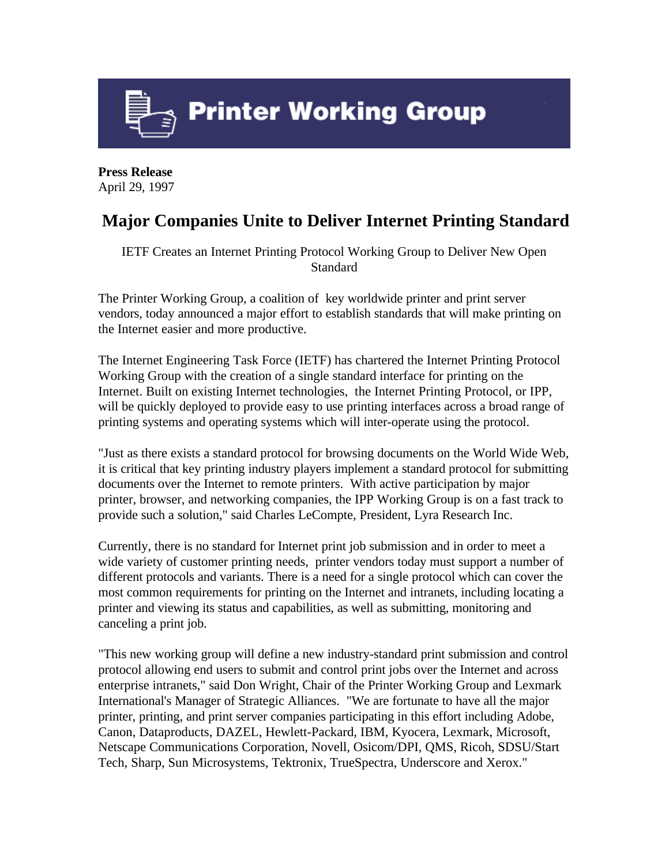

**Press Release** April 29, 1997

## **Major Companies Unite to Deliver Internet Printing Standard**

IETF Creates an Internet Printing Protocol Working Group to Deliver New Open Standard

The Printer Working Group, a coalition of key worldwide printer and print server vendors, today announced a major effort to establish standards that will make printing on the Internet easier and more productive.

The Internet Engineering Task Force (IETF) has chartered the Internet Printing Protocol Working Group with the creation of a single standard interface for printing on the Internet. Built on existing Internet technologies, the Internet Printing Protocol, or IPP, will be quickly deployed to provide easy to use printing interfaces across a broad range of printing systems and operating systems which will inter-operate using the protocol.

"Just as there exists a standard protocol for browsing documents on the World Wide Web, it is critical that key printing industry players implement a standard protocol for submitting documents over the Internet to remote printers. With active participation by major printer, browser, and networking companies, the IPP Working Group is on a fast track to provide such a solution," said Charles LeCompte, President, Lyra Research Inc.

Currently, there is no standard for Internet print job submission and in order to meet a wide variety of customer printing needs, printer vendors today must support a number of different protocols and variants. There is a need for a single protocol which can cover the most common requirements for printing on the Internet and intranets, including locating a printer and viewing its status and capabilities, as well as submitting, monitoring and canceling a print job.

"This new working group will define a new industry-standard print submission and control protocol allowing end users to submit and control print jobs over the Internet and across enterprise intranets," said Don Wright, Chair of the Printer Working Group and Lexmark International's Manager of Strategic Alliances. "We are fortunate to have all the major printer, printing, and print server companies participating in this effort including Adobe, Canon, Dataproducts, DAZEL, Hewlett-Packard, IBM, Kyocera, Lexmark, Microsoft, Netscape Communications Corporation, Novell, Osicom/DPI, QMS, Ricoh, SDSU/Start Tech, Sharp, Sun Microsystems, Tektronix, TrueSpectra, Underscore and Xerox."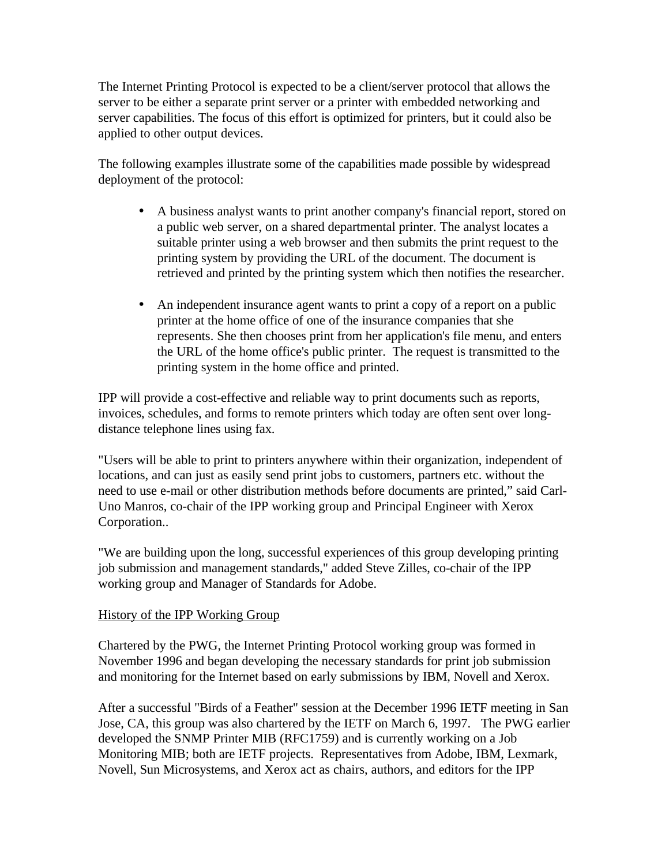The Internet Printing Protocol is expected to be a client/server protocol that allows the server to be either a separate print server or a printer with embedded networking and server capabilities. The focus of this effort is optimized for printers, but it could also be applied to other output devices.

The following examples illustrate some of the capabilities made possible by widespread deployment of the protocol:

- A business analyst wants to print another company's financial report, stored on a public web server, on a shared departmental printer. The analyst locates a suitable printer using a web browser and then submits the print request to the printing system by providing the URL of the document. The document is retrieved and printed by the printing system which then notifies the researcher.
- An independent insurance agent wants to print a copy of a report on a public printer at the home office of one of the insurance companies that she represents. She then chooses print from her application's file menu, and enters the URL of the home office's public printer. The request is transmitted to the printing system in the home office and printed.

IPP will provide a cost-effective and reliable way to print documents such as reports, invoices, schedules, and forms to remote printers which today are often sent over longdistance telephone lines using fax.

"Users will be able to print to printers anywhere within their organization, independent of locations, and can just as easily send print jobs to customers, partners etc. without the need to use e-mail or other distribution methods before documents are printed," said Carl-Uno Manros, co-chair of the IPP working group and Principal Engineer with Xerox Corporation..

"We are building upon the long, successful experiences of this group developing printing job submission and management standards," added Steve Zilles, co-chair of the IPP working group and Manager of Standards for Adobe.

## History of the IPP Working Group

Chartered by the PWG, the Internet Printing Protocol working group was formed in November 1996 and began developing the necessary standards for print job submission and monitoring for the Internet based on early submissions by IBM, Novell and Xerox.

After a successful "Birds of a Feather" session at the December 1996 IETF meeting in San Jose, CA, this group was also chartered by the IETF on March 6, 1997. The PWG earlier developed the SNMP Printer MIB (RFC1759) and is currently working on a Job Monitoring MIB; both are IETF projects. Representatives from Adobe, IBM, Lexmark, Novell, Sun Microsystems, and Xerox act as chairs, authors, and editors for the IPP